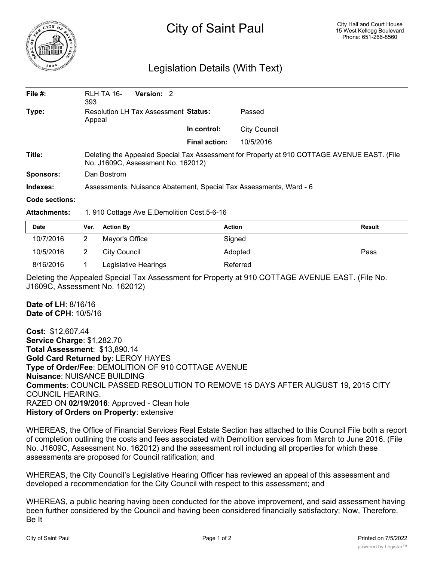

## City of Saint Paul

## Legislation Details (With Text)

| File $#$ :     | RLH TA 16-<br>393                                                                                                                 | Version: 2 |  |                      |              |  |  |
|----------------|-----------------------------------------------------------------------------------------------------------------------------------|------------|--|----------------------|--------------|--|--|
| Type:          | <b>Resolution LH Tax Assessment Status:</b><br>Appeal                                                                             |            |  | Passed               |              |  |  |
|                |                                                                                                                                   |            |  | In control:          | City Council |  |  |
|                |                                                                                                                                   |            |  | <b>Final action:</b> | 10/5/2016    |  |  |
| Title:         | Deleting the Appealed Special Tax Assessment for Property at 910 COTTAGE AVENUE EAST. (File<br>No. J1609C, Assessment No. 162012) |            |  |                      |              |  |  |
| Sponsors:      | Dan Bostrom                                                                                                                       |            |  |                      |              |  |  |
| Indexes:       | Assessments, Nuisance Abatement, Special Tax Assessments, Ward - 6                                                                |            |  |                      |              |  |  |
| Code sections: |                                                                                                                                   |            |  |                      |              |  |  |

Attachments: 1. 910 Cottage Ave E.Demolition Cost.5-6-16

| <b>Date</b> | Ver. | <b>Action By</b>     | <b>Action</b> | Result |
|-------------|------|----------------------|---------------|--------|
| 10/7/2016   |      | Mayor's Office       | Signed        |        |
| 10/5/2016   |      | City Council         | Adopted       | Pass   |
| 8/16/2016   |      | Legislative Hearings | Referred      |        |

Deleting the Appealed Special Tax Assessment for Property at 910 COTTAGE AVENUE EAST. (File No. J1609C, Assessment No. 162012)

**Date of LH**: 8/16/16 **Date of CPH**: 10/5/16

**Cost**: \$12,607.44 **Service Charge**: \$1,282.70 **Total Assessment**: \$13,890.14 **Gold Card Returned by**: LEROY HAYES **Type of Order/Fee**: DEMOLITION OF 910 COTTAGE AVENUE **Nuisance**: NUISANCE BUILDING **Comments**: COUNCIL PASSED RESOLUTION TO REMOVE 15 DAYS AFTER AUGUST 19, 2015 CITY COUNCIL HEARING. RAZED ON **02/19/2016**: Approved - Clean hole **History of Orders on Property**: extensive

WHEREAS, the Office of Financial Services Real Estate Section has attached to this Council File both a report of completion outlining the costs and fees associated with Demolition services from March to June 2016. (File No. J1609C, Assessment No. 162012) and the assessment roll including all properties for which these assessments are proposed for Council ratification; and

WHEREAS, the City Council's Legislative Hearing Officer has reviewed an appeal of this assessment and developed a recommendation for the City Council with respect to this assessment; and

WHEREAS, a public hearing having been conducted for the above improvement, and said assessment having been further considered by the Council and having been considered financially satisfactory; Now, Therefore, Be It